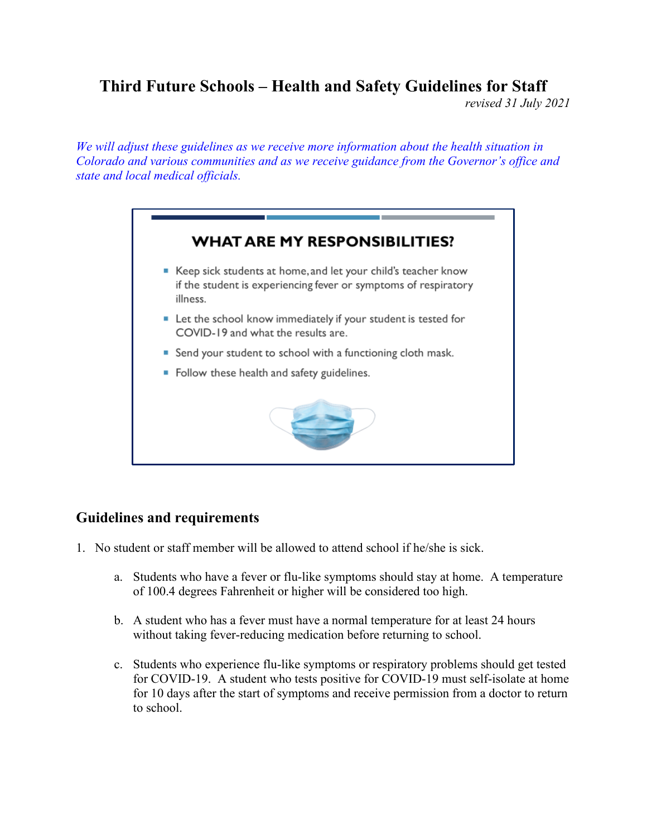## **Third Future Schools – Health and Safety Guidelines for Staff**

*revised 31 July 2021*

*We will adjust these guidelines as we receive more information about the health situation in Colorado and various communities and as we receive guidance from the Governor's office and state and local medical officials.* 



## **Guidelines and requirements**

- 1. No student or staff member will be allowed to attend school if he/she is sick.
	- a. Students who have a fever or flu-like symptoms should stay at home. A temperature of 100.4 degrees Fahrenheit or higher will be considered too high.
	- b. A student who has a fever must have a normal temperature for at least 24 hours without taking fever-reducing medication before returning to school.
	- c. Students who experience flu-like symptoms or respiratory problems should get tested for COVID-19. A student who tests positive for COVID-19 must self-isolate at home for 10 days after the start of symptoms and receive permission from a doctor to return to school.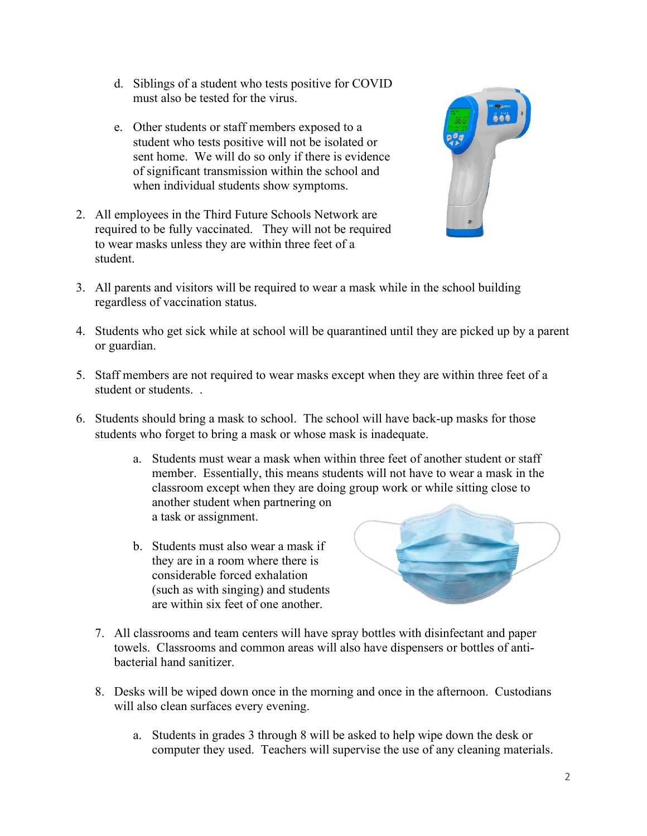- d. Siblings of a student who tests positive for COVID must also be tested for the virus.
- e. Other students or staff members exposed to a student who tests positive will not be isolated or sent home. We will do so only if there is evidence of significant transmission within the school and when individual students show symptoms.
- 2. All employees in the Third Future Schools Network are required to be fully vaccinated. They will not be required to wear masks unless they are within three feet of a student.



- 3. All parents and visitors will be required to wear a mask while in the school building regardless of vaccination status.
- 4. Students who get sick while at school will be quarantined until they are picked up by a parent or guardian.
- 5. Staff members are not required to wear masks except when they are within three feet of a student or students. .
- 6. Students should bring a mask to school. The school will have back-up masks for those students who forget to bring a mask or whose mask is inadequate.
	- a. Students must wear a mask when within three feet of another student or staff member. Essentially, this means students will not have to wear a mask in the classroom except when they are doing group work or while sitting close to another student when partnering on a task or assignment.
	- b. Students must also wear a mask if they are in a room where there is considerable forced exhalation (such as with singing) and students are within six feet of one another.



- 7. All classrooms and team centers will have spray bottles with disinfectant and paper towels. Classrooms and common areas will also have dispensers or bottles of antibacterial hand sanitizer.
- 8. Desks will be wiped down once in the morning and once in the afternoon. Custodians will also clean surfaces every evening.
	- a. Students in grades 3 through 8 will be asked to help wipe down the desk or computer they used. Teachers will supervise the use of any cleaning materials.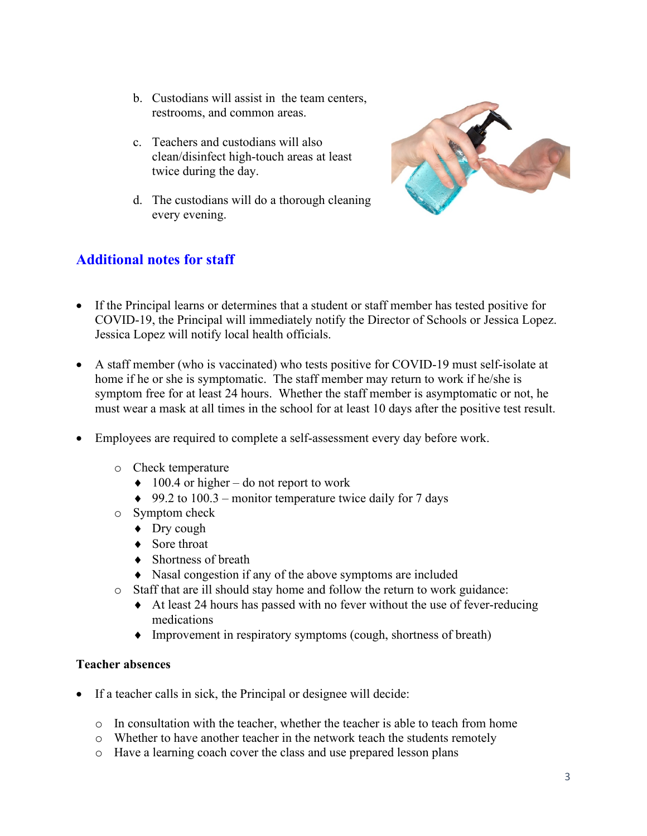- b. Custodians will assist in the team centers, restrooms, and common areas.
- c. Teachers and custodians will also clean/disinfect high-touch areas at least twice during the day.
- d. The custodians will do a thorough cleaning every evening.



## **Additional notes for staff**

- If the Principal learns or determines that a student or staff member has tested positive for COVID-19, the Principal will immediately notify the Director of Schools or Jessica Lopez. Jessica Lopez will notify local health officials.
- A staff member (who is vaccinated) who tests positive for COVID-19 must self-isolate at home if he or she is symptomatic. The staff member may return to work if he/she is symptom free for at least 24 hours. Whether the staff member is asymptomatic or not, he must wear a mask at all times in the school for at least 10 days after the positive test result.
- Employees are required to complete a self-assessment every day before work.
	- o Check temperature
		- $\triangleleft$  100.4 or higher do not report to work
		- $\triangleq$  99.2 to 100.3 monitor temperature twice daily for 7 days
	- o Symptom check
		- ♦ Dry cough
		- ♦ Sore throat
		- ♦ Shortness of breath
		- ♦ Nasal congestion if any of the above symptoms are included
	- o Staff that are ill should stay home and follow the return to work guidance:
		- ♦ At least 24 hours has passed with no fever without the use of fever-reducing medications
		- ♦ Improvement in respiratory symptoms (cough, shortness of breath)

## **Teacher absences**

- If a teacher calls in sick, the Principal or designee will decide:
	- $\circ$  In consultation with the teacher, whether the teacher is able to teach from home
	- o Whether to have another teacher in the network teach the students remotely
	- o Have a learning coach cover the class and use prepared lesson plans